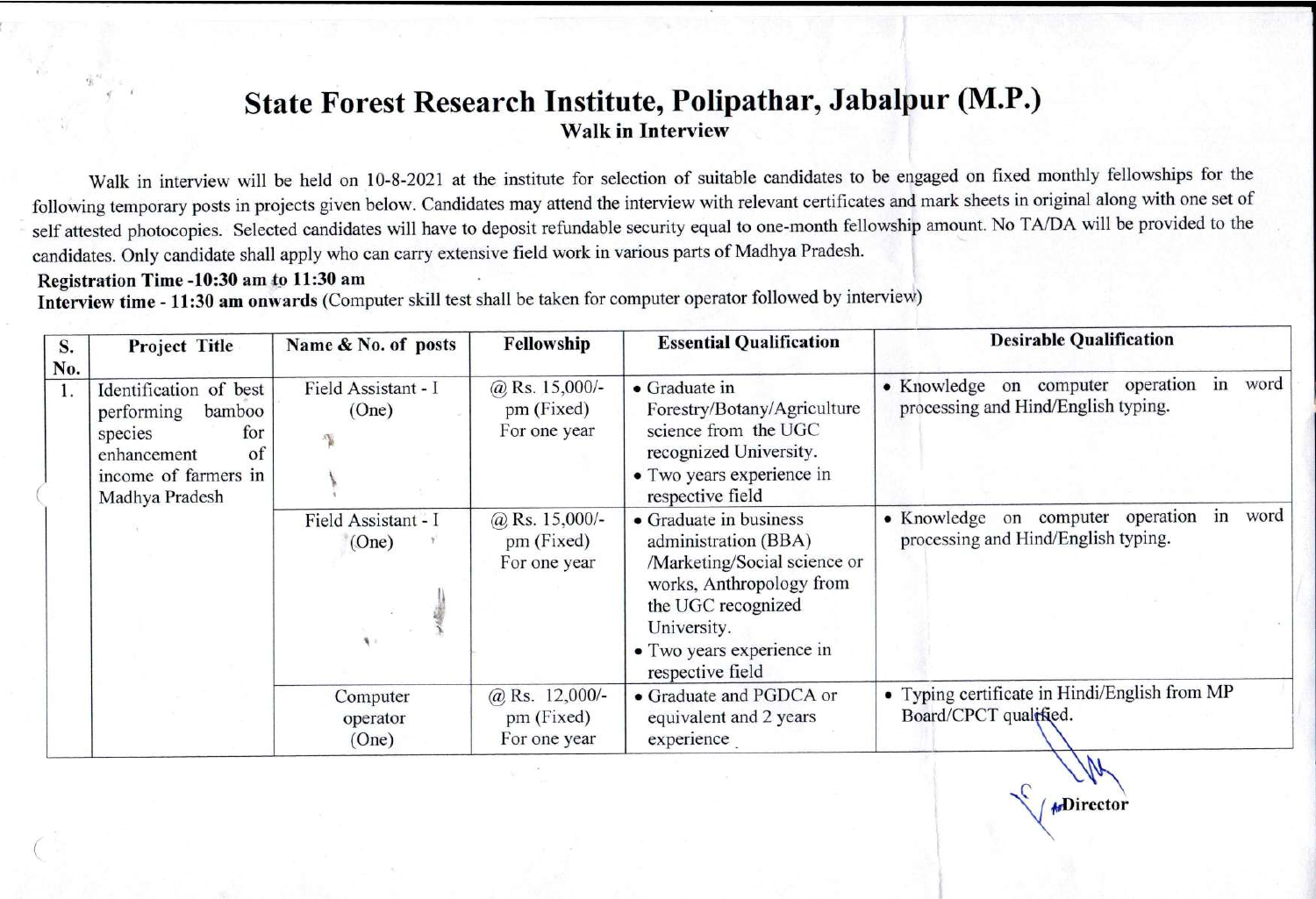# State Forest Research Institute, Polipathar, Jabalpur (M.P.) **Walk in Interview**

Walk in interview will be held on 10-8-2021 at the institute for selection of suitable candidates to be engaged on fixed monthly fellowships for the following temporary posts in projects given below. Candidates may attend the interview with relevant certificates and mark sheets in original along with one set of self attested photocopies. Selected candidates will have to deposit refundable security equal to one-month fellowship amount. No TA/DA will be provided to the candidates. Only candidate shall apply who can carry extensive field work in various parts of Madhya Pradesh.

#### Registration Time -10:30 am to 11:30 am

Interview time - 11:30 am onwards (Computer skill test shall be taken for computer operator followed by interview)

| S.  | <b>Project Title</b>                                                                                                            | Name & No. of posts           | Fellowship                                     | <b>Essential Qualification</b>                                                                                                                                                                   | <b>Desirable Qualification</b>                                                      |
|-----|---------------------------------------------------------------------------------------------------------------------------------|-------------------------------|------------------------------------------------|--------------------------------------------------------------------------------------------------------------------------------------------------------------------------------------------------|-------------------------------------------------------------------------------------|
| No. | Identification of best<br>performing<br>bamboo<br>species<br>for<br>enhancement<br>of<br>income of farmers in<br>Madhya Pradesh | Field Assistant - I<br>(One)  | $@$ Rs. 15,000/-<br>pm (Fixed)<br>For one year | • Graduate in<br>Forestry/Botany/Agriculture<br>science from the UGC<br>recognized University.<br>• Two years experience in<br>respective field                                                  | • Knowledge on computer operation<br>in word<br>processing and Hind/English typing. |
|     |                                                                                                                                 | Field Assistant - I<br>(One)  | @ Rs. $15,000/-$<br>pm (Fixed)<br>For one year | • Graduate in business<br>administration (BBA)<br>/Marketing/Social science or<br>works, Anthropology from<br>the UGC recognized<br>University.<br>• Two years experience in<br>respective field | • Knowledge on computer operation<br>in word<br>processing and Hind/English typing. |
|     |                                                                                                                                 | Computer<br>operator<br>(One) | @ Rs. $12,000/-$<br>pm (Fixed)<br>For one year | • Graduate and PGDCA or<br>equivalent and 2 years<br>experience                                                                                                                                  | • Typing certificate in Hindi/English from MP<br>Board/CPCT qualified.              |

**ADirector**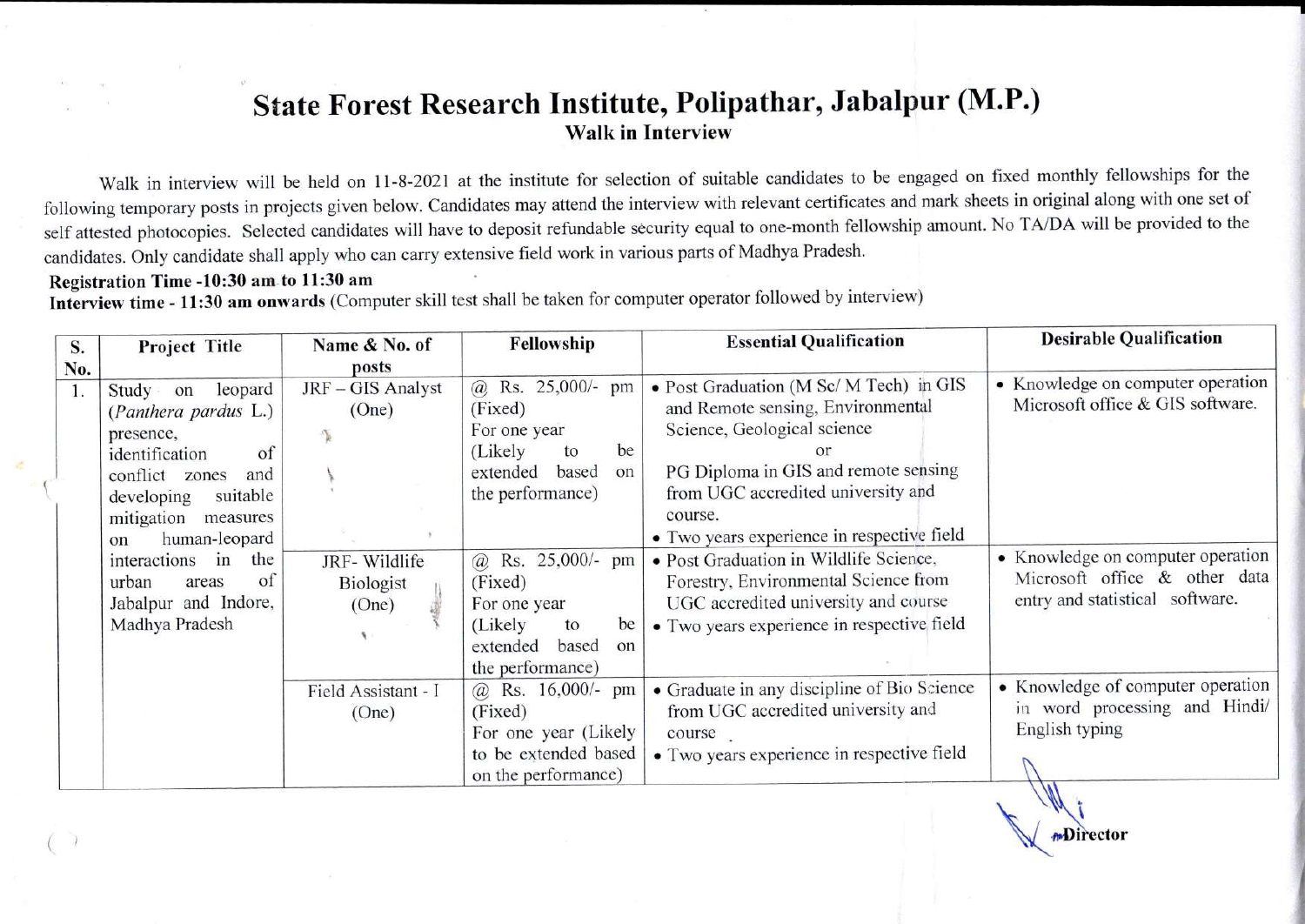# State Forest Research Institute, Polipathar, Jabalpur (M.P.) **Walk in Interview**

Walk in interview will be held on 11-8-2021 at the institute for selection of suitable candidates to be engaged on fixed monthly fellowships for the following temporary posts in projects given below. Candidates may attend the interview with relevant certificates and mark sheets in original along with one set of self attested photocopies. Selected candidates will have to deposit refundable security equal to one-month fellowship amount. No TA/DA will be provided to the candidates. Only candidate shall apply who can carry extensive field work in various parts of Madhya Pradesh.

### Registration Time -10:30 am to 11:30 am

Interview time - 11:30 am onwards (Computer skill test shall be taken for computer operator followed by interview)

| S.  | Project Title                                                                                                                                                                                                  | Name & No. of                              | Fellowship                                                                                                                               | <b>Essential Qualification</b>                                                                                                                                                                                                                                                               | <b>Desirable Qualification</b>                                                                             |
|-----|----------------------------------------------------------------------------------------------------------------------------------------------------------------------------------------------------------------|--------------------------------------------|------------------------------------------------------------------------------------------------------------------------------------------|----------------------------------------------------------------------------------------------------------------------------------------------------------------------------------------------------------------------------------------------------------------------------------------------|------------------------------------------------------------------------------------------------------------|
| No. |                                                                                                                                                                                                                | posts                                      |                                                                                                                                          |                                                                                                                                                                                                                                                                                              |                                                                                                            |
|     | leopard<br>Study on<br>(Panthera pardus L.)<br>presence,<br>of<br>identification<br>conflict zones<br>and<br>suitable<br>developing<br>mitigation<br>measures<br>human-leopard<br>on<br>interactions in<br>the | JRF - GIS Analyst<br>(One)<br>JRF-Wildlife | @ Rs. 25,000/- pm<br>(Fixed)<br>For one year<br>be<br>(Likely)<br>to<br>based<br>extended<br>on<br>the performance)<br>@ Rs. 25,000/- pm | · Post Graduation (M Sc/ M Tech) in GIS<br>and Remote sensing, Environmental<br>Science, Geological science<br>PG Diploma in GIS and remote sensing<br>from UGC accredited university and<br>course.<br>• Two years experience in respective field<br>• Post Graduation in Wildlife Science, | • Knowledge on computer operation<br>Microsoft office & GIS software.<br>• Knowledge on computer operation |
|     | of<br>urban<br>areas<br>Jabalpur and Indore,<br>Madhya Pradesh                                                                                                                                                 | Biologist<br>(One)                         | (Fixed)<br>For one year<br>(Likely)<br>be<br>to<br>based<br>extended<br>on<br>the performance)                                           | Forestry, Environmental Science from<br>UGC accredited university and course<br>• Two years experience in respective field                                                                                                                                                                   | Microsoft office & other data<br>entry and statistical software.                                           |
|     |                                                                                                                                                                                                                | Field Assistant - I<br>(One)               | @ Rs. $16,000/-$ pm<br>(Fixed)<br>For one year (Likely<br>to be extended based<br>on the performance)                                    | • Graduate in any discipline of Bio Science<br>from UGC accredited university and<br>course<br>• Two years experience in respective field                                                                                                                                                    | • Knowledge of computer operation<br>in word processing and Hindi/<br>English typing                       |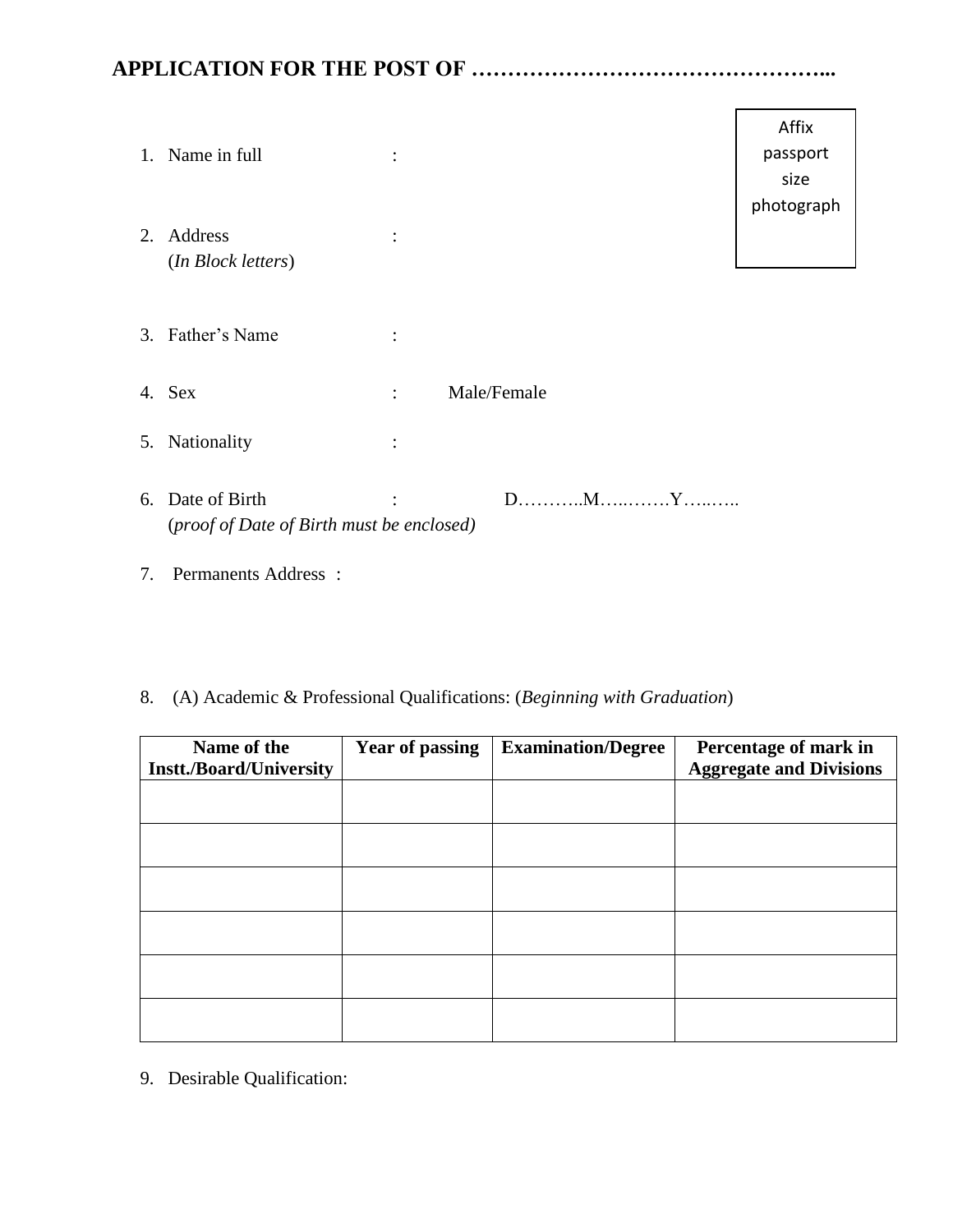## **APPLICATION FOR THE POST OF …………………………………………...**

|    | 1. Name in full                                               | $\bullet$      |             | Affix<br>passport<br>size<br>photograph |
|----|---------------------------------------------------------------|----------------|-------------|-----------------------------------------|
| 2. | Address<br>(In Block letters)                                 | $\bullet$      |             |                                         |
|    | 3. Father's Name                                              | $\bullet$      |             |                                         |
|    | 4. Sex                                                        | $\ddot{\cdot}$ | Male/Female |                                         |
| 5. | Nationality                                                   | $\bullet$      |             |                                         |
|    | 6. Date of Birth<br>(proof of Date of Birth must be enclosed) | $\ddot{\cdot}$ |             |                                         |

- 7. Permanents Address :
- 8. (A) Academic & Professional Qualifications: (*Beginning with Graduation*)

| Name of the<br><b>Instt./Board/University</b> | <b>Year of passing</b> | <b>Examination/Degree</b> | Percentage of mark in<br><b>Aggregate and Divisions</b> |
|-----------------------------------------------|------------------------|---------------------------|---------------------------------------------------------|
|                                               |                        |                           |                                                         |
|                                               |                        |                           |                                                         |
|                                               |                        |                           |                                                         |
|                                               |                        |                           |                                                         |
|                                               |                        |                           |                                                         |
|                                               |                        |                           |                                                         |

9. Desirable Qualification: